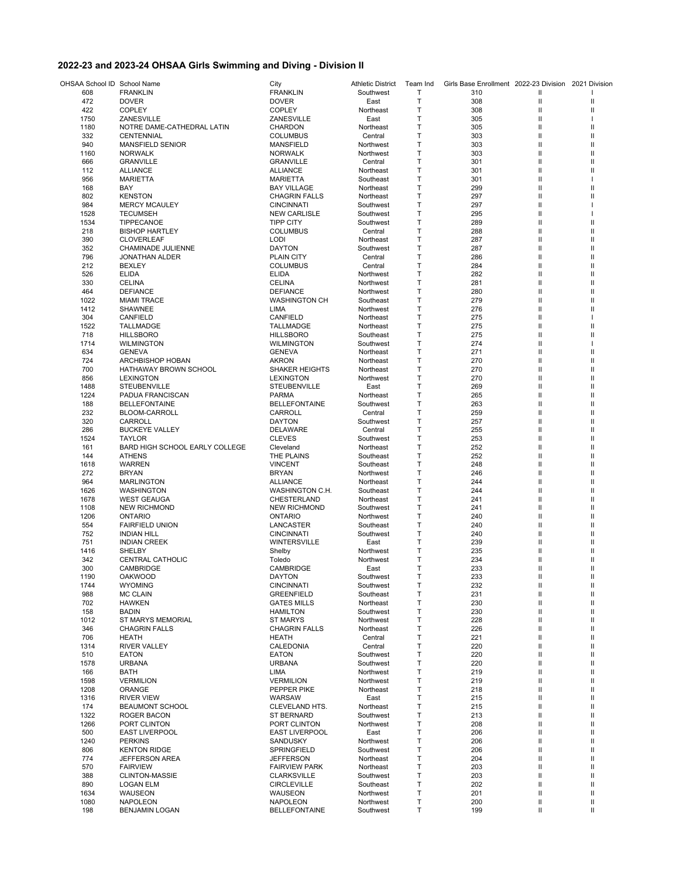## **2022-23 and 2023-24 OHSAA Girls Swimming and Diving - Division II**

| OHSAA School ID School Name |                                | City                  | <b>Athletic District</b> | Team Ind | Girls Base Enrollment 2022-23 Division 2021 Division |              |              |
|-----------------------------|--------------------------------|-----------------------|--------------------------|----------|------------------------------------------------------|--------------|--------------|
| 608                         | <b>FRANKLIN</b>                | <b>FRANKLIN</b>       | Southwest                | Т        | 310                                                  | Ш            |              |
| 472                         | <b>DOVER</b>                   | <b>DOVER</b>          | East                     | T        | 308                                                  | $\mathbf{I}$ | $\mathbf{I}$ |
| 422                         | <b>COPLEY</b>                  | COPLEY                | Northeast                | T        | 308                                                  | Ш            | $\mathbf{I}$ |
| 1750                        | ZANESVILLE                     | ZANESVILLE            | East                     | Т        | 305                                                  | $\mathbf{I}$ |              |
| 1180                        | NOTRE DAME-CATHEDRAL LATIN     | <b>CHARDON</b>        | Northeast                | Т        | 305                                                  | Ш            | $\mathbf{I}$ |
| 332                         | CENTENNIAL                     | <b>COLUMBUS</b>       | Central                  | Т        | 303                                                  | $\mathbf{I}$ | Ш            |
| 940                         | <b>MANSFIELD SENIOR</b>        | <b>MANSFIELD</b>      | Northwest                | T        | 303                                                  | $\mathbf{I}$ | Ш            |
| 1160                        | <b>NORWALK</b>                 | <b>NORWALK</b>        | Northwest                | T        | 303                                                  | Ш            | Ш            |
| 666                         | <b>GRANVILLE</b>               | <b>GRANVILLE</b>      | Central                  | Т        | 301                                                  | Ш            | Ш            |
| 112                         | <b>ALLIANCE</b>                | <b>ALLIANCE</b>       | Northeast                | Т        | 301                                                  | Ш            | Ш            |
| 956                         | <b>MARIETTA</b>                | <b>MARIETTA</b>       | Southeast                | Т        | 301                                                  | $\mathbf{I}$ |              |
| 168                         | BAY                            | <b>BAY VILLAGE</b>    | Northeast                | Т        | 299                                                  | $\mathbf{I}$ | $\mathbf{I}$ |
| 802                         | <b>KENSTON</b>                 | <b>CHAGRIN FALLS</b>  | Northeast                | T.       | 297                                                  | Ш            | Ш            |
| 984                         | <b>MERCY MCAULEY</b>           | <b>CINCINNATI</b>     | Southwest                | Τ        | 297                                                  | $\mathbf{I}$ |              |
| 1528                        | <b>TECUMSEH</b>                | <b>NEW CARLISLE</b>   | Southwest                | T        | 295                                                  | Ш            |              |
| 1534                        | TIPPECANOE                     | <b>TIPP CITY</b>      | Southwest                | T        | 289                                                  | $\mathbf{I}$ | Ш            |
| 218                         | <b>BISHOP HARTLEY</b>          | <b>COLUMBUS</b>       | Central                  | T        | 288                                                  | $\mathbf{I}$ | Ш            |
| 390                         | <b>CLOVERLEAF</b>              | <b>LODI</b>           | Northeast                | T        | 287                                                  | $\mathbf{I}$ | $\mathbf{I}$ |
| 352                         | CHAMINADE JULIENNE             | <b>DAYTON</b>         | Southwest                | Т        | 287                                                  | $\mathbf{I}$ | Ш            |
| 796                         | <b>JONATHAN ALDER</b>          | <b>PLAIN CITY</b>     | Central                  | Т        | 286                                                  | Ш            | Ш            |
|                             |                                |                       |                          |          |                                                      | $\mathbf{I}$ |              |
| 212                         | <b>BEXLEY</b>                  | <b>COLUMBUS</b>       | Central                  | Т        | 284                                                  |              | Ш            |
| 526                         | <b>ELIDA</b>                   | <b>ELIDA</b>          | Northwest                | T        | 282                                                  | $\mathbf{I}$ | Ш            |
| 330                         | <b>CELINA</b>                  | <b>CELINA</b>         | Northwest                | Т        | 281                                                  | Ш            | Ш            |
| 464                         | <b>DEFIANCE</b>                | <b>DEFIANCE</b>       | Northwest                | Т        | 280                                                  | $\mathbf{I}$ | Ш            |
| 1022                        | <b>MIAMI TRACE</b>             | <b>WASHINGTON CH</b>  | Southeast                | Т        | 279                                                  | Ш            | Ш            |
| 1412                        | SHAWNEE                        | LIMA                  | Northwest                | Т        | 276                                                  | $\mathbf{I}$ | $\mathbf{I}$ |
| 304                         | CANFIELD                       | CANFIELD              | Northeast                | Т        | 275                                                  | $\mathbf{I}$ |              |
| 1522                        | <b>TALLMADGE</b>               | TALLMADGE             | Northeast                | T        | 275                                                  | Ш            | Ш            |
| 718                         | <b>HILLSBORO</b>               | <b>HILLSBORO</b>      | Southeast                | T        | 275                                                  | $\mathbf{I}$ | Ш            |
| 1714                        | <b>WILMINGTON</b>              | <b>WILMINGTON</b>     | Southwest                | Т        | 274                                                  | Ш            |              |
| 634                         | <b>GENEVA</b>                  | <b>GENEVA</b>         | Northeast                | T        | 271                                                  | $\mathbf{I}$ | $\mathbf{I}$ |
| 724                         | ARCHBISHOP HOBAN               | <b>AKRON</b>          | Northeast                | T        | 270                                                  | $\mathbf{I}$ | Ш            |
| 700                         | HATHAWAY BROWN SCHOOL          | <b>SHAKER HEIGHTS</b> | Northeast                | T        | 270                                                  | Ш            | Ш            |
| 856                         | <b>LEXINGTON</b>               | <b>LEXINGTON</b>      | Northwest                | Т        | 270                                                  | $\mathbf{I}$ | $\mathbf{I}$ |
| 1488                        | <b>STEUBENVILLE</b>            | <b>STEUBENVILLE</b>   | East                     | T        | 269                                                  | Ш            | Ш            |
| 1224                        | PADUA FRANCISCAN               | <b>PARMA</b>          | Northeast                | Т        | 265                                                  | $\mathbf{I}$ | $\mathbf{I}$ |
| 188                         | <b>BELLEFONTAINE</b>           | <b>BELLEFONTAINE</b>  | Southwest                | T        | 263                                                  | $\mathbf{I}$ | Ш            |
| 232                         | BLOOM-CARROLL                  | CARROLL               | Central                  | T        | 259                                                  | Ш            | Ш            |
| 320                         | CARROLL                        | <b>DAYTON</b>         | Southwest                | T        | 257                                                  | $\mathbf{I}$ | Ш            |
| 286                         | <b>BUCKEYE VALLEY</b>          | <b>DELAWARE</b>       | Central                  | Т        | 255                                                  | Ш            | Ш            |
| 1524                        | <b>TAYLOR</b>                  | <b>CLEVES</b>         | Southwest                | Т        | 253                                                  | $\mathbf{I}$ | Ш            |
| 161                         |                                | Cleveland             |                          | T        | 252                                                  | $\mathbf{I}$ | Ш            |
|                             | BARD HIGH SCHOOL EARLY COLLEGE |                       | Northeast                | T        |                                                      | Ш            | Ш            |
| 144                         | <b>ATHENS</b>                  | THE PLAINS            | Southeast                |          | 252                                                  | $\mathbf{I}$ |              |
| 1618                        | <b>WARREN</b>                  | <b>VINCENT</b>        | Southeast                | Τ        | 248                                                  |              | Ш            |
| 272                         | <b>BRYAN</b>                   | <b>BRYAN</b>          | Northwest                | T        | 246                                                  | Ш            | Ш            |
| 964                         | <b>MARLINGTON</b>              | <b>ALLIANCE</b>       | Northeast                | T        | 244                                                  | $\mathbf{I}$ | Ш            |
| 1626                        | <b>WASHINGTON</b>              | WASHINGTON C.H.       | Southeast                | T        | 244                                                  | $\mathbf{I}$ | Ш            |
| 1678                        | <b>WEST GEAUGA</b>             | CHESTERLAND           | Northeast                | T        | 241                                                  | $\mathbf{I}$ | $\mathbf{I}$ |
| 1108                        | <b>NEW RICHMOND</b>            | <b>NEW RICHMOND</b>   | Southwest                | T        | 241                                                  | $\mathbf{I}$ | Ш            |
| 1206                        | <b>ONTARIO</b>                 | <b>ONTARIO</b>        | Northwest                | Т        | 240                                                  | Ш            | Ш            |
| 554                         | <b>FAIRFIELD UNION</b>         | LANCASTER             | Southeast                | T        | 240                                                  | $\mathbf{I}$ | Ш            |
| 752                         | <b>INDIAN HILL</b>             | <b>CINCINNATI</b>     | Southwest                | T        | 240                                                  | $\mathbf{I}$ | Ш            |
| 751                         | <b>INDIAN CREEK</b>            | WINTERSVILLE          | East                     | Т        | 239                                                  | Ш            | Ш            |
| 1416                        | SHELBY                         | Shelby                | Northwest                | Т        | 235                                                  | Ш            | Ш            |
| 342                         | CENTRAL CATHOLIC               | Toledo                | Northwest                | Т        | 234                                                  | Ш            | Ш            |
| 300                         | CAMBRIDGE                      | CAMBRIDGE             | East                     | Т        | 233                                                  | Ш            | Ш            |
| 1190                        | <b>OAKWOOD</b>                 | <b>DAYTON</b>         | Southwest                | T        | 233                                                  | Ш            | Ш            |
| 1744                        | <b>WYOMING</b>                 | <b>CINCINNATI</b>     | Southwest                | Τ        | 232                                                  | Ш            | Ш            |
| 988                         | <b>MC CLAIN</b>                | <b>GREENFIELD</b>     | Southeast                | Т        | 231                                                  | Ш            | Ш            |
| 702                         | <b>HAWKEN</b>                  | <b>GATES MILLS</b>    | Northeast                | Т        | 230                                                  | Ш            | Ш            |
| 158                         | <b>BADIN</b>                   | <b>HAMILTON</b>       | Southwest                | Т        | 230                                                  | Ш            | Ш            |
| 1012                        | ST MARYS MEMORIAL              | <b>ST MARYS</b>       | Northwest                | Τ        | 228                                                  | Ш            | Ш            |
| 346                         | <b>CHAGRIN FALLS</b>           | <b>CHAGRIN FALLS</b>  | Northeast                | Т        | 226                                                  | Ш            | Ш            |
| 706                         | <b>HEATH</b>                   | <b>HEATH</b>          | Central                  | Т        | 221                                                  | Ш            | Ш            |
| 1314                        | <b>RIVER VALLEY</b>            | CALEDONIA             | Central                  | Т        | 220                                                  | Ш            | Ш            |
| 510                         | <b>EATON</b>                   | <b>EATON</b>          | Southwest                | Т        | 220                                                  | Ш            | Ш            |
| 1578                        | <b>URBANA</b>                  | <b>URBANA</b>         | Southwest                | Т        | 220                                                  | Ш            | Ш            |
| 166                         | BATH                           | LIMA                  | Northwest                | Τ        | 219                                                  | Ш            | Ш            |
| 1598                        | <b>VERMILION</b>               | <b>VERMILION</b>      | Northwest                | Т        | 219                                                  | Ш            | Ш            |
| 1208                        | ORANGE                         | PEPPER PIKE           | Northeast                | Т        | 218                                                  | Ш            | Ш            |
| 1316                        | <b>RIVER VIEW</b>              | WARSAW                | East                     | Т        | 215                                                  | Ш            | Ш            |
| 174                         | <b>BEAUMONT SCHOOL</b>         | CLEVELAND HTS.        | Northeast                | Τ        | 215                                                  | Ш            | Ш            |
| 1322                        | ROGER BACON                    | <b>ST BERNARD</b>     | Southwest                | Т        | 213                                                  | Ш            | Ш            |
|                             |                                |                       |                          |          |                                                      | Ш            | Ш            |
| 1266                        | PORT CLINTON                   | PORT CLINTON          | Northwest                | Т        | 208                                                  | Ш            |              |
| 500                         | <b>EAST LIVERPOOL</b>          | <b>EAST LIVERPOOL</b> | East                     | Т        | 206                                                  |              | Ш            |
| 1240                        | <b>PERKINS</b>                 | SANDUSKY              | Northwest                | Т        | 206                                                  |              | Ш            |
| 806                         | <b>KENTON RIDGE</b>            | SPRINGFIELD           | Southwest                | Τ        | 206                                                  | Ш            | Ш            |
| 774                         | JEFFERSON AREA                 | <b>JEFFERSON</b>      | Northeast                | Τ        | 204                                                  | Ш            | Ш            |
| 570                         | <b>FAIRVIEW</b>                | <b>FAIRVIEW PARK</b>  | Northeast                | Т        | 203                                                  | Ш            | Ш            |
| 388                         | CLINTON-MASSIE                 | <b>CLARKSVILLE</b>    | Southwest                | Т        | 203                                                  | Ш            | Ш            |
| 890                         | <b>LOGAN ELM</b>               | CIRCLEVILLE           | Southeast                | Т        | 202                                                  | Ш            | Ш            |
| 1634                        | WAUSEON                        | WAUSEON               | Northwest                | Т        | 201                                                  | Ш            | Ш            |
| 1080                        | <b>NAPOLEON</b>                | <b>NAPOLEON</b>       | Northwest                | Т        | 200                                                  | Ш            | Ш            |
| 198                         | <b>BENJAMIN LOGAN</b>          | <b>BELLEFONTAINE</b>  | Southwest                | Т        | 199                                                  | II           | Ш            |